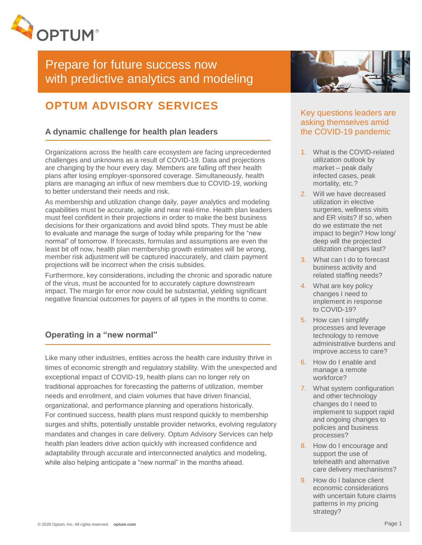

# Prepare for future success now with predictive analytics and modeling

## **OPTUM ADVISORY SERVICES**

## **A dynamic challenge for health plan leaders**

Organizations across the health care ecosystem are facing unprecedented challenges and unknowns as a result of COVID-19. Data and projections are changing by the hour every day. Members are falling off their health plans after losing employer-sponsored coverage. Simultaneously, health plans are managing an influx of new members due to COVID-19, working to better understand their needs and risk.

As membership and utilization change daily, payer analytics and modeling capabilities must be accurate, agile and near real-time. Health plan leaders must feel confident in their projections in order to make the best business decisions for their organizations and avoid blind spots. They must be able to evaluate and manage the surge of today while preparing for the "new normal" of tomorrow. If forecasts, formulas and assumptions are even the least bit off now, health plan membership growth estimates will be wrong, member risk adjustment will be captured inaccurately, and claim payment projections will be incorrect when the crisis subsides.

Furthermore, key considerations, including the chronic and sporadic nature of the virus, must be accounted for to accurately capture downstream impact. The margin for error now could be substantial, yielding significant negative financial outcomes for payers of all types in the months to come.

## **Operating in a "new normal"**

Like many other industries, entities across the health care industry thrive in times of economic strength and regulatory stability. With the unexpected and exceptional impact of COVID-19, health plans can no longer rely on traditional approaches for forecasting the patterns of utilization, member needs and enrollment, and claim volumes that have driven financial, organizational, and performance planning and operations historically. For continued success, health plans must respond quickly to membership surges and shifts, potentially unstable provider networks, evolving regulatory mandates and changes in care delivery. Optum Advisory Services can help health plan leaders drive action quickly with increased confidence and adaptability through accurate and interconnected analytics and modeling, while also helping anticipate a "new normal" in the months ahead.



## Key questions leaders are asking themselves amid the COVID-19 pandemic

- 1. What is the COVID-related utilization outlook by market – peak daily infected cases, peak mortality, etc.?
- 2. Will we have decreased utilization in elective surgeries, wellness visits and ER visits? If so, when do we estimate the net impact to begin? How long/ deep will the projected utilization changes last?
- 3. What can I do to forecast business activity and related staffing needs?
- 4. What are key policy changes I need to implement in response to COVID-19?
- 5. How can I simplify processes and leverage technology to remove administrative burdens and improve access to care?
- 6. How do I enable and manage a remote workforce?
- 7. What system configuration and other technology changes do I need to implement to support rapid and ongoing changes to policies and business processes?
- 8. How do I encourage and support the use of telehealth and alternative care delivery mechanisms?
- 9. How do I balance client economic considerations with uncertain future claims patterns in my pricing strategy?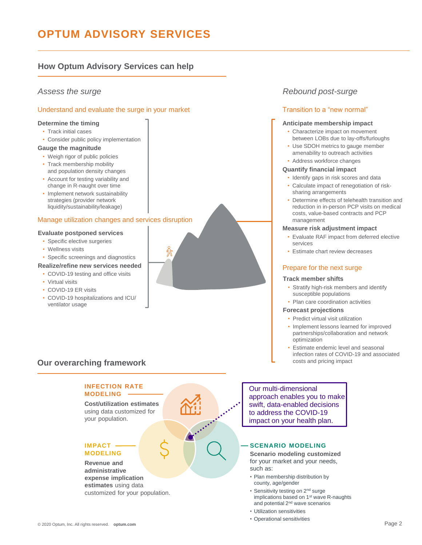## **OPTUM ADVISORY SERVICES**

## **How Optum Advisory Services can help**

#### Understand and evaluate the surge in your market

#### **Determine the timing**

- Track initial cases
- Consider public policy implementation

#### **Gauge the magnitude**

- Weigh rigor of public policies
- Track membership mobility and population density changes
- Account for testing variability and change in R-naught over time
- Implement network sustainability strategies (provider network liquidity/sustainability/leakage)

#### Manage utilization changes and services disruption

#### **Evaluate postponed services**

- Specific elective surgeries
- Wellness visits
- Specific screenings and diagnostics

### **Realize/refine new services needed**

- COVID-19 testing and office visits
- Virtual visits
- COVID-19 ER visits
- COVID-19 hospitalizations and ICU/ ventilator usage

## **Our overarching framework**

#### **INFECTION RATE MODELING**

**Cost/utilization estimates**  using data customized for your population.

#### **IMPACT MODELING**

**Revenue and administrative expense implication estimates** using data customized for your population.

#### [© 2020 Optum, Inc. All rights reserved.](http://www.optum.com/) **optum.com** Page 2

## *Assess the surge Rebound post-surge*

### Transition to a "new normal"

#### **Anticipate membership impact**

- Characterize impact on movement between LOBs due to lay-offs/furloughs
- Use SDOH metrics to gauge member amenability to outreach activities
- Address workforce changes

#### **Quantify financial impact**

- Identify gaps in risk scores and data
- Calculate impact of renegotiation of risksharing arrangements
- Determine effects of telehealth transition and reduction in in-person PCP visits on medical costs, value-based contracts and PCP management

#### **Measure risk adjustment impact**

- Evaluate RAF impact from deferred elective services
- Estimate chart review decreases

#### Prepare for the next surge

#### **Track member shifts**

- Stratify high-risk members and identify susceptible populations
- Plan care coordination activities

#### **Forecast projections**

- Predict virtual visit utilization
- Implement lessons learned for improved partnerships/collaboration and network optimization
- Estimate endemic level and seasonal infection rates of COVID-19 and associated costs and pricing impact

### Our multi-dimensional approach enables you to make swift, data-enabled decisions to address the COVID-19 impact on your health plan.

#### **SCENARIO MODELING**

**Scenario modeling customized**  for your market and your needs, such as:

- Plan membership distribution by county, age/gender
- Sensitivity testing on 2nd surge implications based on 1st wave R-naughts and potential 2nd wave scenarios
- Utilization sensitivities
- Operational sensitivities